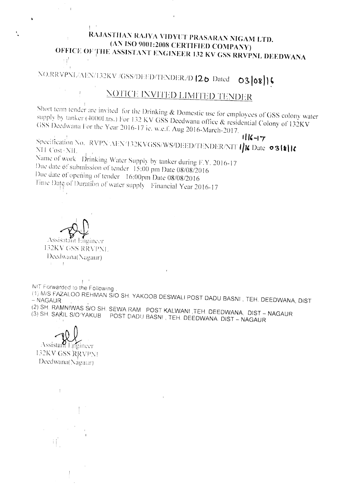## RAJASTHAN RAJYA VIDYUT PRASARAN NIGAM LTD. (AN ISO 9001:2008 CERTIFIED COMPANY) OFFICE OF THE ASSISTANT ENGINEER 132 KV GSS RRVPNL DEEDWANA H.

NO.RRVPNL/AEN/132KV /GSS/DEED/TENDER./D |20 Dated  $03|08|$ 

## NOTICE INVITED LIMITED TENDER

Short term tender are invited for the Drinking & Domestic use for employees of GSS colony water supply by tanker (4000Ltrs.) For 132 KV GSS Deedwana office & residential Colony of 132KV GSS Deedwana For the Year 2016-17 ie. w.e.f. Aug 2016-March-2017.

 $116 - 7$ Specification No. RVPN:AEN/132KVGSS/WS/DEED/TENDER/NIT II Date 031811 NH Cost<sup>®</sup>NH. Name of work Drinking Water Supply by tanker during F.Y. 2016-17 Due date of submission of tender 15:00 pm Date 08/08/2016 Due date of opening of tender 16:00pm Date 08/08/2016

Time Date of Duration of water supply Financial Year 2016-17

Assisatant Engineer

**I32KV GSS RRVPNL** Deedwana(Nagaur)  $\mathbb{C}^{\mathbb{C}}$  ,  $\mathbb{C}^{\mathbb{C}}$  .

 $\pm$   $^{-1}$ NIT Forwarded to the Following

(1) M/S FAZALOO REHMAN S/O SH. YAKOOB DESWALI POST DADU BASNI, TEH. DEEDWANA, DIST

 $\epsilon$ 

(2) SH. RAMNIWAS SVO SH. SEWA RAM POST KALWANI TEH. DEEDWANA, DIST - NAGAUR (3) SH. SAKIL S/O'YAKUB POST DADU BASNI, TEH. DEEDWANA. DIST - NAGAUR

Assistant Engineer

132KV GSS RRVPNI Deedwana(Nagaur)